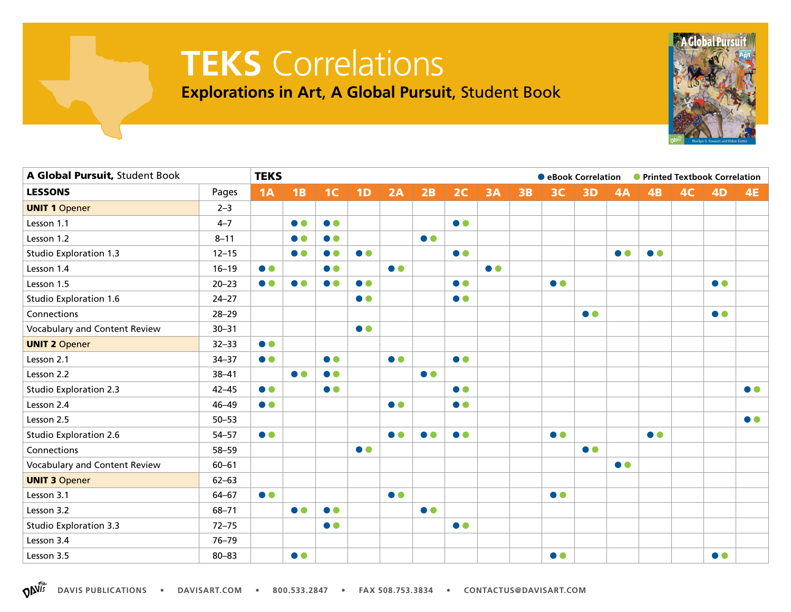## **TEKS** Correlations

**Explorations in Art**, **A Global Pursuit**, Student Book

| A Global Pursuit, Student Book |           |           | <b>TEKS</b><br>● eBook Correlation ● Printed Textbook Correlation |                |           |           |           |                  |           |           |                  |           |           |                  |    |                  |                  |
|--------------------------------|-----------|-----------|-------------------------------------------------------------------|----------------|-----------|-----------|-----------|------------------|-----------|-----------|------------------|-----------|-----------|------------------|----|------------------|------------------|
| <b>LESSONS</b>                 | Pages     | 1A        | 1B                                                                | 1 <sup>C</sup> | 1D        | 2A        | 2B        | 2C               | <b>3A</b> | <b>3B</b> | 3C               | <b>3D</b> | 4A        | 4B               | 4C | <b>4D</b>        | <b>4E</b>        |
| <b>UNIT 1 Opener</b>           | $2 - 3$   |           |                                                                   |                |           |           |           |                  |           |           |                  |           |           |                  |    |                  |                  |
| Lesson 1.1                     | $4 - 7$   |           | $\bullet$                                                         | $\bullet$      |           |           |           | $\bullet\bullet$ |           |           |                  |           |           |                  |    |                  |                  |
| Lesson 1.2                     | $8 - 11$  |           | $\bullet$                                                         | $\bullet$      |           |           | $\bullet$ |                  |           |           |                  |           |           |                  |    |                  |                  |
| <b>Studio Exploration 1.3</b>  | $12 - 15$ |           | $\bullet$                                                         | $\bullet$      | $\bullet$ |           |           | $\bullet$        |           |           |                  |           | $\bullet$ | $\bullet$        |    |                  |                  |
| Lesson 1.4                     | $16 - 19$ | $\bullet$ |                                                                   | $\bullet$      |           | $\bullet$ |           |                  | $\bullet$ |           |                  |           |           |                  |    |                  |                  |
| Lesson 1.5                     | $20 - 23$ | $\bullet$ | $\bullet$                                                         | $\bullet$      | $\bullet$ |           |           | $\bullet$        |           |           | $\bullet$        |           |           |                  |    | $\bullet\bullet$ |                  |
| Studio Exploration 1.6         | $24 - 27$ |           |                                                                   |                | $\bullet$ |           |           | $\bullet$        |           |           |                  |           |           |                  |    |                  |                  |
| Connections                    | $28 - 29$ |           |                                                                   |                |           |           |           |                  |           |           |                  | $\bullet$ |           |                  |    | $\bullet$        |                  |
| Vocabulary and Content Review  | $30 - 31$ |           |                                                                   |                | $\bullet$ |           |           |                  |           |           |                  |           |           |                  |    |                  |                  |
| <b>UNIT 2 Opener</b>           | $32 - 33$ | $\bullet$ |                                                                   |                |           |           |           |                  |           |           |                  |           |           |                  |    |                  |                  |
| Lesson 2.1                     | $34 - 37$ | $\bullet$ |                                                                   | $\bullet$      |           | $\bullet$ |           | $\bullet$        |           |           |                  |           |           |                  |    |                  |                  |
| Lesson 2.2                     | $38 - 41$ |           | $\bullet$                                                         | $\bullet$      |           |           | $\bullet$ |                  |           |           |                  |           |           |                  |    |                  |                  |
| <b>Studio Exploration 2.3</b>  | $42 - 45$ | $\bullet$ |                                                                   | $\bullet$      |           |           |           | $\bullet$        |           |           |                  |           |           |                  |    |                  | $\bullet\bullet$ |
| Lesson 2.4                     | $46 - 49$ | $\bullet$ |                                                                   |                |           | $\bullet$ |           | $\bullet$        |           |           |                  |           |           |                  |    |                  |                  |
| Lesson 2.5                     | $50 - 53$ |           |                                                                   |                |           |           |           |                  |           |           |                  |           |           |                  |    |                  | $\bullet$        |
| <b>Studio Exploration 2.6</b>  | $54 - 57$ | $\bullet$ |                                                                   |                |           | $\bullet$ | $\bullet$ | $\bullet$        |           |           | $\bullet$        |           |           | $\bullet\bullet$ |    |                  |                  |
| Connections                    | $58 - 59$ |           |                                                                   |                | $\bullet$ |           |           |                  |           |           |                  | $\bullet$ |           |                  |    |                  |                  |
| Vocabulary and Content Review  | $60 - 61$ |           |                                                                   |                |           |           |           |                  |           |           |                  |           | $\bullet$ |                  |    |                  |                  |
| <b>UNIT 3 Opener</b>           | $62 - 63$ |           |                                                                   |                |           |           |           |                  |           |           |                  |           |           |                  |    |                  |                  |
| Lesson 3.1                     | $64 - 67$ | $\bullet$ |                                                                   |                |           | $\bullet$ |           |                  |           |           | $\bullet\bullet$ |           |           |                  |    |                  |                  |
| Lesson 3.2                     | $68 - 71$ |           | $\bullet$                                                         | $\bullet$      |           |           | $\bullet$ |                  |           |           |                  |           |           |                  |    |                  |                  |
| <b>Studio Exploration 3.3</b>  | $72 - 75$ |           |                                                                   | $\bullet$      |           |           |           | $\bullet$        |           |           |                  |           |           |                  |    |                  |                  |
| Lesson 3.4                     | $76 - 79$ |           |                                                                   |                |           |           |           |                  |           |           |                  |           |           |                  |    |                  |                  |
| Lesson 3.5                     | $80 - 83$ |           | $\bullet$                                                         |                |           |           |           |                  |           |           | $\bullet$        |           |           |                  |    | $\bullet$        |                  |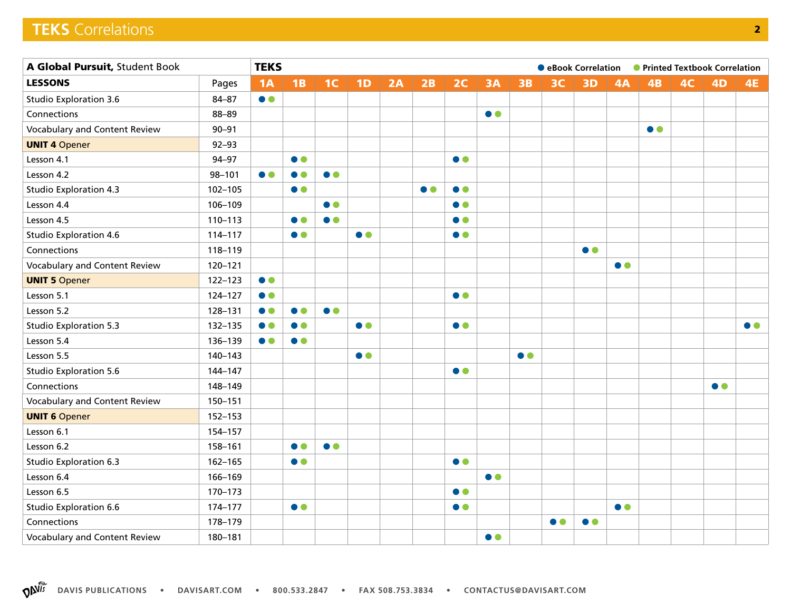## **TEKS** Correlations **2**

| A Global Pursuit, Student Book       |             |           | <b>TEKS</b><br>● Printed Textbook Correlation<br>● eBook Correlation |                  |           |    |           |           |           |           |                |           |           |                  |                |           |                  |
|--------------------------------------|-------------|-----------|----------------------------------------------------------------------|------------------|-----------|----|-----------|-----------|-----------|-----------|----------------|-----------|-----------|------------------|----------------|-----------|------------------|
| <b>LESSONS</b>                       | Pages       | 1A        | 1B                                                                   | 1 <sup>C</sup>   | 1D        | 2A | 2B        | 2C        | <b>3A</b> | 3B        | 3 <sup>C</sup> | 3D        | 4A        | 4B               | 4 <sub>C</sub> | <b>4D</b> | <b>4E</b>        |
| <b>Studio Exploration 3.6</b>        | $84 - 87$   | $\bullet$ |                                                                      |                  |           |    |           |           |           |           |                |           |           |                  |                |           |                  |
| Connections                          | 88-89       |           |                                                                      |                  |           |    |           |           | $\bullet$ |           |                |           |           |                  |                |           |                  |
| Vocabulary and Content Review        | $90 - 91$   |           |                                                                      |                  |           |    |           |           |           |           |                |           |           | $\bullet\bullet$ |                |           |                  |
| <b>UNIT 4 Opener</b>                 | $92 - 93$   |           |                                                                      |                  |           |    |           |           |           |           |                |           |           |                  |                |           |                  |
| Lesson 4.1                           | 94-97       |           | $\bullet$                                                            |                  |           |    |           | $\bullet$ |           |           |                |           |           |                  |                |           |                  |
| Lesson 4.2                           | $98 - 101$  | $\bullet$ | $\bullet$                                                            | $\bullet$        |           |    |           |           |           |           |                |           |           |                  |                |           |                  |
| <b>Studio Exploration 4.3</b>        | $102 - 105$ |           | $\bullet$                                                            |                  |           |    | $\bullet$ | $\bullet$ |           |           |                |           |           |                  |                |           |                  |
| Lesson 4.4                           | 106-109     |           |                                                                      | $\bullet$        |           |    |           | $\bullet$ |           |           |                |           |           |                  |                |           |                  |
| Lesson 4.5                           | $110 - 113$ |           | $\bullet$                                                            | $\bullet$        |           |    |           | $\bullet$ |           |           |                |           |           |                  |                |           |                  |
| <b>Studio Exploration 4.6</b>        | 114-117     |           | $\bullet$                                                            |                  | $\bullet$ |    |           | $\bullet$ |           |           |                |           |           |                  |                |           |                  |
| Connections                          | 118-119     |           |                                                                      |                  |           |    |           |           |           |           |                | $\bullet$ |           |                  |                |           |                  |
| <b>Vocabulary and Content Review</b> | 120-121     |           |                                                                      |                  |           |    |           |           |           |           |                |           | $\bullet$ |                  |                |           |                  |
| <b>UNIT 5 Opener</b>                 | 122-123     | $\bullet$ |                                                                      |                  |           |    |           |           |           |           |                |           |           |                  |                |           |                  |
| Lesson 5.1                           | 124-127     | $\bullet$ |                                                                      |                  |           |    |           | $\bullet$ |           |           |                |           |           |                  |                |           |                  |
| Lesson 5.2                           | 128-131     | $\bullet$ | $\bullet$                                                            | $\bullet\bullet$ |           |    |           |           |           |           |                |           |           |                  |                |           |                  |
| <b>Studio Exploration 5.3</b>        | 132-135     | $\bullet$ | $\bullet$                                                            |                  | $\bullet$ |    |           | $\bullet$ |           |           |                |           |           |                  |                |           | $\bullet\bullet$ |
| Lesson 5.4                           | 136-139     | $\bullet$ | $\bullet$                                                            |                  |           |    |           |           |           |           |                |           |           |                  |                |           |                  |
| Lesson 5.5                           | 140-143     |           |                                                                      |                  | $\bullet$ |    |           |           |           | $\bullet$ |                |           |           |                  |                |           |                  |
| <b>Studio Exploration 5.6</b>        | 144-147     |           |                                                                      |                  |           |    |           | $\bullet$ |           |           |                |           |           |                  |                |           |                  |
| Connections                          | 148-149     |           |                                                                      |                  |           |    |           |           |           |           |                |           |           |                  |                | $\bullet$ |                  |
| Vocabulary and Content Review        | 150-151     |           |                                                                      |                  |           |    |           |           |           |           |                |           |           |                  |                |           |                  |
| <b>UNIT 6 Opener</b>                 | $152 - 153$ |           |                                                                      |                  |           |    |           |           |           |           |                |           |           |                  |                |           |                  |
| Lesson 6.1                           | 154-157     |           |                                                                      |                  |           |    |           |           |           |           |                |           |           |                  |                |           |                  |
| Lesson 6.2                           | 158-161     |           | $\bullet$                                                            | $\bullet\bullet$ |           |    |           |           |           |           |                |           |           |                  |                |           |                  |
| <b>Studio Exploration 6.3</b>        | 162-165     |           | $\bullet$                                                            |                  |           |    |           | $\bullet$ |           |           |                |           |           |                  |                |           |                  |
| Lesson 6.4                           | 166-169     |           |                                                                      |                  |           |    |           |           | $\bullet$ |           |                |           |           |                  |                |           |                  |
| Lesson 6.5                           | 170-173     |           |                                                                      |                  |           |    |           | $\bullet$ |           |           |                |           |           |                  |                |           |                  |
| Studio Exploration 6.6               | 174-177     |           | $\bullet$                                                            |                  |           |    |           | $\bullet$ |           |           |                |           | $\bullet$ |                  |                |           |                  |
| Connections                          | 178-179     |           |                                                                      |                  |           |    |           |           |           |           | $\bullet$      | $\bullet$ |           |                  |                |           |                  |
| Vocabulary and Content Review        | 180-181     |           |                                                                      |                  |           |    |           |           | $\bullet$ |           |                |           |           |                  |                |           |                  |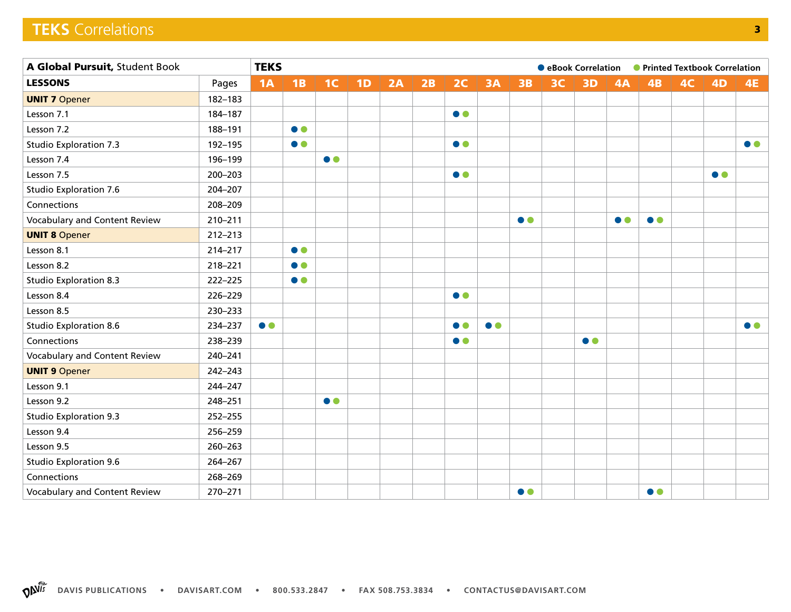## **TEKS** Correlations **3**

| A Global Pursuit, Student Book |             |           | <b>TEKS</b><br>• eBook Correlation • Printed Textbook Correlation |                |    |    |    |                  |           |           |    |           |           |                  |    |           |           |
|--------------------------------|-------------|-----------|-------------------------------------------------------------------|----------------|----|----|----|------------------|-----------|-----------|----|-----------|-----------|------------------|----|-----------|-----------|
| <b>LESSONS</b>                 | Pages       | 1A        | 1B                                                                | 1 <sup>C</sup> | 1D | 2A | 2B | 2C               | 3A        | 3B        | 3C | 3D        | 4A        | 4B               | 4C | <b>4D</b> | <b>4E</b> |
| <b>UNIT 7 Opener</b>           | 182-183     |           |                                                                   |                |    |    |    |                  |           |           |    |           |           |                  |    |           |           |
| Lesson 7.1                     | 184-187     |           |                                                                   |                |    |    |    | $\bullet$        |           |           |    |           |           |                  |    |           |           |
| Lesson 7.2                     | 188-191     |           | $\bullet$                                                         |                |    |    |    |                  |           |           |    |           |           |                  |    |           |           |
| <b>Studio Exploration 7.3</b>  | 192-195     |           | $\bullet$                                                         |                |    |    |    | $\bullet\bullet$ |           |           |    |           |           |                  |    |           | $\bullet$ |
| Lesson 7.4                     | 196-199     |           |                                                                   | $\bullet$      |    |    |    |                  |           |           |    |           |           |                  |    |           |           |
| Lesson 7.5                     | 200-203     |           |                                                                   |                |    |    |    | $\bullet$        |           |           |    |           |           |                  |    | $\bullet$ |           |
| <b>Studio Exploration 7.6</b>  | 204-207     |           |                                                                   |                |    |    |    |                  |           |           |    |           |           |                  |    |           |           |
| Connections                    | 208-209     |           |                                                                   |                |    |    |    |                  |           |           |    |           |           |                  |    |           |           |
| Vocabulary and Content Review  | 210-211     |           |                                                                   |                |    |    |    |                  |           | $\bullet$ |    |           | $\bullet$ | $\bullet$        |    |           |           |
| <b>UNIT 8 Opener</b>           | $212 - 213$ |           |                                                                   |                |    |    |    |                  |           |           |    |           |           |                  |    |           |           |
| Lesson 8.1                     | 214-217     |           | $\bullet$                                                         |                |    |    |    |                  |           |           |    |           |           |                  |    |           |           |
| Lesson 8.2                     | 218-221     |           | $\bullet$                                                         |                |    |    |    |                  |           |           |    |           |           |                  |    |           |           |
| <b>Studio Exploration 8.3</b>  | 222-225     |           | $\bullet$                                                         |                |    |    |    |                  |           |           |    |           |           |                  |    |           |           |
| Lesson 8.4                     | 226-229     |           |                                                                   |                |    |    |    | $\bullet$        |           |           |    |           |           |                  |    |           |           |
| Lesson 8.5                     | 230-233     |           |                                                                   |                |    |    |    |                  |           |           |    |           |           |                  |    |           |           |
| <b>Studio Exploration 8.6</b>  | 234-237     | $\bullet$ |                                                                   |                |    |    |    | $\bullet$        | $\bullet$ |           |    |           |           |                  |    |           | $\bullet$ |
| Connections                    | 238-239     |           |                                                                   |                |    |    |    | $\bullet\bullet$ |           |           |    | $\bullet$ |           |                  |    |           |           |
| Vocabulary and Content Review  | 240-241     |           |                                                                   |                |    |    |    |                  |           |           |    |           |           |                  |    |           |           |
| <b>UNIT 9 Opener</b>           | 242-243     |           |                                                                   |                |    |    |    |                  |           |           |    |           |           |                  |    |           |           |
| Lesson 9.1                     | 244-247     |           |                                                                   |                |    |    |    |                  |           |           |    |           |           |                  |    |           |           |
| Lesson 9.2                     | 248-251     |           |                                                                   | $\bullet$      |    |    |    |                  |           |           |    |           |           |                  |    |           |           |
| <b>Studio Exploration 9.3</b>  | 252-255     |           |                                                                   |                |    |    |    |                  |           |           |    |           |           |                  |    |           |           |
| Lesson 9.4                     | 256-259     |           |                                                                   |                |    |    |    |                  |           |           |    |           |           |                  |    |           |           |
| Lesson 9.5                     | 260-263     |           |                                                                   |                |    |    |    |                  |           |           |    |           |           |                  |    |           |           |
| <b>Studio Exploration 9.6</b>  | 264-267     |           |                                                                   |                |    |    |    |                  |           |           |    |           |           |                  |    |           |           |
| Connections                    | 268-269     |           |                                                                   |                |    |    |    |                  |           |           |    |           |           |                  |    |           |           |
| Vocabulary and Content Review  | 270-271     |           |                                                                   |                |    |    |    |                  |           | $\bullet$ |    |           |           | $\bullet\bullet$ |    |           |           |